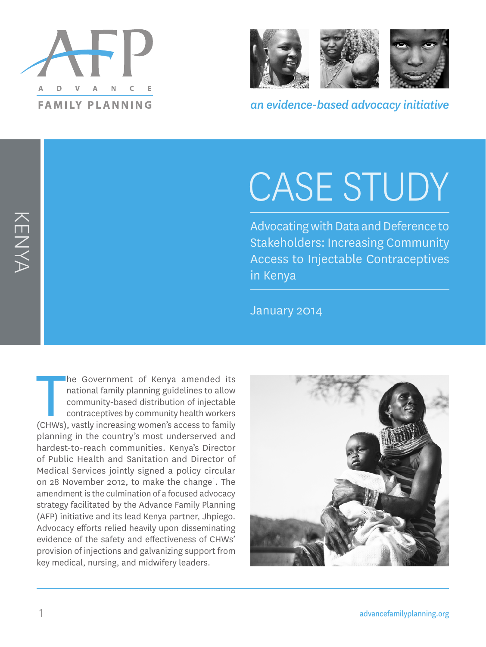



*an evidence-based advocacy initiative*

# CASE STUDY

Advocating with Data and Deference to Stakeholders: Increasing Community Access to Injectable Contraceptives in Kenya

January 2014

The Government of Kenya amended its<br>
national family planning guidelines to allow<br>
community-based distribution of injectable<br>
contraceptives by community health workers<br>
(CHWs), vastly increasing women's access to family he Government of Kenya amended its national family planning guidelines to allow community-based distribution of injectable contraceptives by community health workers planning in the country's most underserved and hardest-to-reach communities. Kenya's Director of Public Health and Sanitation and Director of Medical Services jointly signed a policy circular on 28 November 2012, to make the change<sup>1</sup>. The amendment is the culmination of a focused advocacy strategy facilitated by the Advance Family Planning (AFP) initiative and its lead Kenya partner, Jhpiego. Advocacy efforts relied heavily upon disseminating evidence of the safety and effectiveness of CHWs' provision of injections and galvanizing support from key medical, nursing, and midwifery leaders.



KENYA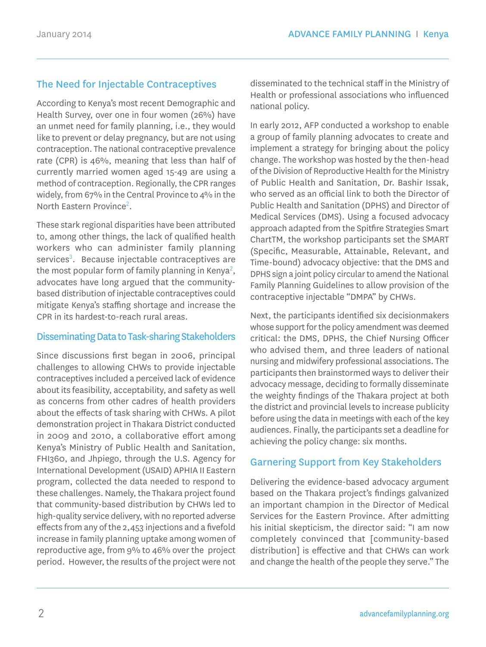# The Need for Injectable Contraceptives

According to Kenya's most recent Demographic and Health Survey, over one in four women (26%) have an unmet need for family planning, i.e., they would like to prevent or delay pregnancy, but are not using contraception. The national contraceptive prevalence rate (CPR) is 46%, meaning that less than half of currently married women aged 15-49 are using a method of contraception. Regionally, the CPR ranges widely, from 67% in the Central Province to 4% in the North Eastern Province<sup>2</sup>.

These stark regional disparities have been attributed to, among other things, the lack of qualified health workers who can administer family planning services<sup>3</sup>. Because injectable contraceptives are the most popular form of family planning in Kenya<sup>2</sup>, advocates have long argued that the communitybased distribution of injectable contraceptives could mitigate Kenya's staffing shortage and increase the CPR in its hardest-to-reach rural areas.

## Disseminating Data to Task-sharing Stakeholders

Since discussions first began in 2006, principal challenges to allowing CHWs to provide injectable contraceptives included a perceived lack of evidence about its feasibility, acceptability, and safety as well as concerns from other cadres of health providers about the effects of task sharing with CHWs. A pilot demonstration project in Thakara District conducted in 2009 and 2010, a collaborative effort among Kenya's Ministry of Public Health and Sanitation, FHI360, and Jhpiego, through the U.S. Agency for International Development (USAID) APHIA II Eastern program, collected the data needed to respond to these challenges. Namely, the Thakara project found that community-based distribution by CHWs led to high-quality service delivery, with no reported adverse effects from any of the 2,453 injections and a fivefold increase in family planning uptake among women of reproductive age, from 9% to 46% over the project period. However, the results of the project were not

disseminated to the technical staff in the Ministry of Health or professional associations who influenced national policy.

In early 2012, AFP conducted a workshop to enable a group of family planning advocates to create and implement a strategy for bringing about the policy change. The workshop was hosted by the then-head of the Division of Reproductive Health for the Ministry of Public Health and Sanitation, Dr. Bashir Issak, who served as an official link to both the Director of Public Health and Sanitation (DPHS) and Director of Medical Services (DMS). Using a focused advocacy approach adapted from the Spitfire Strategies Smart ChartTM, the workshop participants set the SMART (Specific, Measurable, Attainable, Relevant, and Time-bound) advocacy objective: that the DMS and DPHS sign a joint policy circular to amend the National Family Planning Guidelines to allow provision of the contraceptive injectable "DMPA" by CHWs.

Next, the participants identified six decisionmakers whose support for the policy amendment was deemed critical: the DMS, DPHS, the Chief Nursing Officer who advised them, and three leaders of national nursing and midwifery professional associations. The participants then brainstormed ways to deliver their advocacy message, deciding to formally disseminate the weighty findings of the Thakara project at both the district and provincial levels to increase publicity before using the data in meetings with each of the key audiences. Finally, the participants set a deadline for achieving the policy change: six months.

## Garnering Support from Key Stakeholders

Delivering the evidence-based advocacy argument based on the Thakara project's findings galvanized an important champion in the Director of Medical Services for the Eastern Province. After admitting his initial skepticism, the director said: "I am now completely convinced that [community-based distribution] is effective and that CHWs can work and change the health of the people they serve." The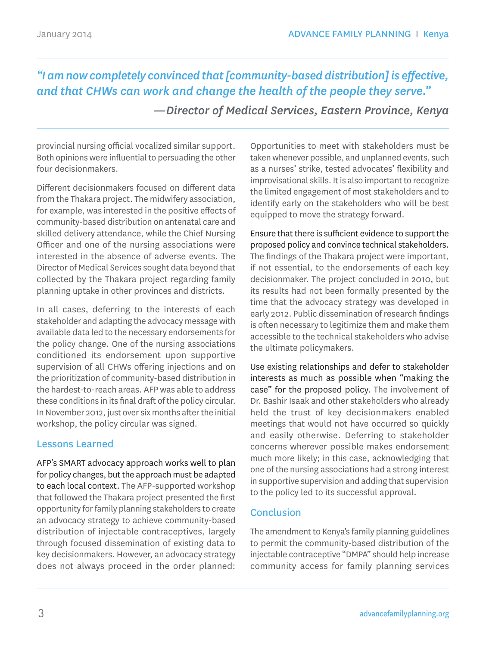*"I am now completely convinced that [community-based distribution] is effective, and that CHWs can work and change the health of the people they serve."*

 *—Director of Medical Services, Eastern Province, Kenya*

provincial nursing official vocalized similar support. Both opinions were influential to persuading the other four decisionmakers.

Different decisionmakers focused on different data from the Thakara project. The midwifery association, for example, was interested in the positive effects of community-based distribution on antenatal care and skilled delivery attendance, while the Chief Nursing Officer and one of the nursing associations were interested in the absence of adverse events. The Director of Medical Services sought data beyond that collected by the Thakara project regarding family planning uptake in other provinces and districts.

In all cases, deferring to the interests of each stakeholder and adapting the advocacy message with available data led to the necessary endorsements for the policy change. One of the nursing associations conditioned its endorsement upon supportive supervision of all CHWs offering injections and on the prioritization of community-based distribution in the hardest-to-reach areas. AFP was able to address these conditions in its final draft of the policy circular. In November 2012, just over six months after the initial workshop, the policy circular was signed.

## Lessons Learned

AFP's SMART advocacy approach works well to plan for policy changes, but the approach must be adapted to each local context. The AFP-supported workshop that followed the Thakara project presented the first opportunity for family planning stakeholders to create an advocacy strategy to achieve community-based distribution of injectable contraceptives, largely through focused dissemination of existing data to key decisionmakers. However, an advocacy strategy does not always proceed in the order planned:

Opportunities to meet with stakeholders must be taken whenever possible, and unplanned events, such as a nurses' strike, tested advocates' flexibility and improvisational skills. It is also important to recognize the limited engagement of most stakeholders and to identify early on the stakeholders who will be best equipped to move the strategy forward.

Ensure that there is sufficient evidence to support the proposed policy and convince technical stakeholders. The findings of the Thakara project were important, if not essential, to the endorsements of each key decisionmaker. The project concluded in 2010, but its results had not been formally presented by the time that the advocacy strategy was developed in early 2012. Public dissemination of research findings is often necessary to legitimize them and make them accessible to the technical stakeholders who advise the ultimate policymakers.

Use existing relationships and defer to stakeholder interests as much as possible when "making the case" for the proposed policy. The involvement of Dr. Bashir Isaak and other stakeholders who already held the trust of key decisionmakers enabled meetings that would not have occurred so quickly and easily otherwise. Deferring to stakeholder concerns wherever possible makes endorsement much more likely; in this case, acknowledging that one of the nursing associations had a strong interest in supportive supervision and adding that supervision to the policy led to its successful approval.

## Conclusion

The amendment to Kenya's family planning guidelines to permit the community-based distribution of the injectable contraceptive "DMPA" should help increase community access for family planning services